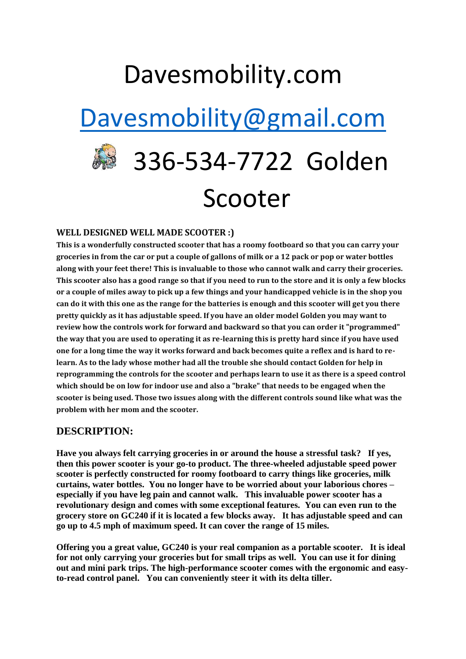### Davesmobility.com

## [Davesmobility@gmail.com](mailto:Davesmobility@gmail.com)

# 336-534-7722 Golden Scooter

#### **WELL DESIGNED WELL MADE SCOOTER :)**

**This is a wonderfully constructed scooter that has a roomy footboard so that you can carry your groceries in from the car or put a couple of gallons of milk or a 12 pack or pop or water bottles along with your feet there! This is invaluable to those who cannot walk and carry their groceries. This scooter also has a good range so that if you need to run to the store and it is only a few blocks or a couple of miles away to pick up a few things and your handicapped vehicle is in the shop you can do it with this one as the range for the batteries is enough and this scooter will get you there pretty quickly as it has adjustable speed. If you have an older model Golden you may want to review how the controls work for forward and backward so that you can order it "programmed" the way that you are used to operating it as re-learning this is pretty hard since if you have used one for a long time the way it works forward and back becomes quite a reflex and is hard to relearn. As to the lady whose mother had all the trouble she should contact Golden for help in reprogramming the controls for the scooter and perhaps learn to use it as there is a speed control which should be on low for indoor use and also a "brake" that needs to be engaged when the scooter is being used. Those two issues along with the different controls sound like what was the problem with her mom and the scooter.**

#### **DESCRIPTION:**

**Have you always felt carrying groceries in or around the house a stressful task? If yes, then this power scooter is your go-to product. The three-wheeled adjustable speed power scooter is perfectly constructed for roomy footboard to carry things like groceries, milk curtains, water bottles. You no longer have to be worried about your laborious chores – especially if you have leg pain and cannot walk. This invaluable power scooter has a revolutionary design and comes with some exceptional features. You can even run to the grocery store on GC240 if it is located a few blocks away. It has adjustable speed and can go up to 4.5 mph of maximum speed. It can cover the range of 15 miles.**

**Offering you a great value, GC240 is your real companion as a portable scooter. It is ideal for not only carrying your groceries but for small trips as well. You can use it for dining out and mini park trips. The high-performance scooter comes with the ergonomic and easyto-read control panel. You can conveniently steer it with its delta tiller.**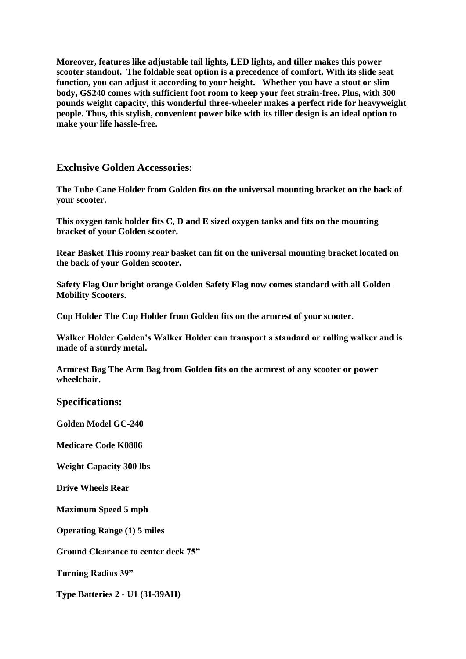**Moreover, features like adjustable tail lights, LED lights, and tiller makes this power scooter standout. The foldable seat option is a precedence of comfort. With its slide seat function, you can adjust it according to your height. Whether you have a stout or slim body, GS240 comes with sufficient foot room to keep your feet strain-free. Plus, with 300 pounds weight capacity, this wonderful three-wheeler makes a perfect ride for heavyweight people. Thus, this stylish, convenient power bike with its tiller design is an ideal option to make your life hassle-free.**

#### **Exclusive Golden Accessories:**

**The Tube Cane Holder from Golden fits on the universal mounting bracket on the back of your scooter.**

**This oxygen tank holder fits C, D and E sized oxygen tanks and fits on the mounting bracket of your Golden scooter.**

**Rear Basket This roomy rear basket can fit on the universal mounting bracket located on the back of your Golden scooter.**

**Safety Flag Our bright orange Golden Safety Flag now comes standard with all Golden Mobility Scooters.**

**Cup Holder The Cup Holder from Golden fits on the armrest of your scooter.**

**Walker Holder Golden's Walker Holder can transport a standard or rolling walker and is made of a sturdy metal.**

**Armrest Bag The Arm Bag from Golden fits on the armrest of any scooter or power wheelchair.**

#### **Specifications:**

**Golden Model GC-240**

**Medicare Code K0806**

**Weight Capacity 300 lbs**

**Drive Wheels Rear**

**Maximum Speed 5 mph**

**Operating Range (1) 5 miles**

**Ground Clearance to center deck 75"**

**Turning Radius 39"**

**Type Batteries 2 - U1 (31-39AH)**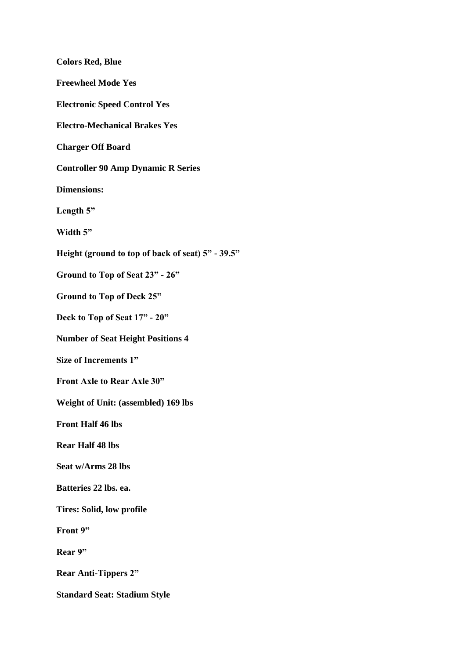| <b>Colors Red, Blue</b>                           |
|---------------------------------------------------|
| <b>Freewheel Mode Yes</b>                         |
| <b>Electronic Speed Control Yes</b>               |
| <b>Electro-Mechanical Brakes Yes</b>              |
| <b>Charger Off Board</b>                          |
| <b>Controller 90 Amp Dynamic R Series</b>         |
| <b>Dimensions:</b>                                |
| Length 5"                                         |
| Width 5"                                          |
| Height (ground to top of back of seat) 5" - 39.5" |
| Ground to Top of Seat 23" - 26"                   |
| <b>Ground to Top of Deck 25"</b>                  |
| Deck to Top of Seat 17" - 20"                     |
| <b>Number of Seat Height Positions 4</b>          |
| Size of Increments 1"                             |
| Front Axle to Rear Axle 30"                       |
| Weight of Unit: (assembled) 169 lbs               |
| <b>Front Half 46 lbs</b>                          |
| <b>Rear Half 48 lbs</b>                           |
| Seat w/Arms 28 lbs                                |
| Batteries 22 lbs. ea.                             |
| <b>Tires: Solid, low profile</b>                  |
| Front 9"                                          |
| Rear 9"                                           |
| <b>Rear Anti-Tippers 2"</b>                       |
| <b>Standard Seat: Stadium Style</b>               |
|                                                   |